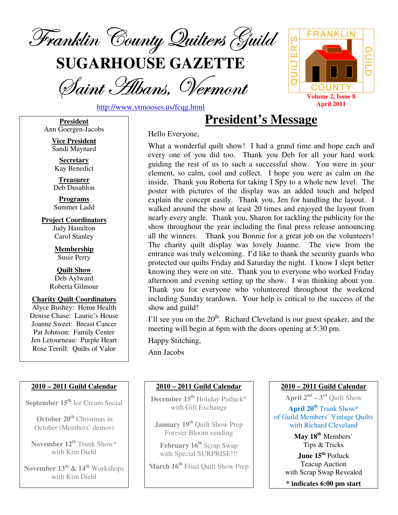

**SUGARHOUSE GAZETTE**

Saint Albans, Vermont



http://www.vtmooses.us/fcqg.html

**President** Ann Goergen-Jacobs

> **Vice President** Sandi Maynard

**Secretary** Kay Benedict

**Treasurer** Deb Dusablon

**Programs** Summer Ladd

**Project Coordinators** Judy Hamilton Carol Stanley

> **Membership** Susie Perry

**Quilt Show** Deb Aylward Roberta Gilmour

**Charity Quilt Coordinators** Alyce Bushey: Home Health Denise Chase: Laurie's House Joanne Sweet: Breast Cancer Pat Johnson: Family Center Jen Letourneau: Purple Heart Rose Terrill: Quilts of Valor

#### **2010 – 2011 Guild Calendar**

**September 15 th** Ice Cream Social

**October 20 th** Christmas in October (Members' demos)

**November 12 th** Trunk Show\* with Kim Diehl

**November 13 th & 14 th** Workshops with Kim Diehl

Hello Everyone,

What a wonderful quilt show! I had a grand time and hope each and every one of you did too. Thank you Deb for all your hard work guiding the rest of us to such a successful show. You were in your element, so calm, cool and collect. I hope you were as calm on the inside. Thank you Roberta for taking I Spy to a whole new level. The poster with pictures of the display was an added touch and helped explain the concept easily. Thank you, Jen for handling the layout. I walked around the show at least 20 times and enjoyed the layout from nearly every angle. Thank you, Sharon for tackling the publicity for the show throughout the year including the final press release announcing all the winners. Thank you Bonnie for a great job on the volunteers! The charity quilt display was lovely Joanne. The view from the entrance was truly welcoming. I'd like to thank the security guards who protected our quilts Friday and Saturday the night. I know I slept better knowing they were on site. Thank you to everyone who worked Friday afternoon and evening setting up the show. I was thinking about you. Thank you for everyone who volunteered throughout the weekend including Sunday teardown. Your help is critical to the success of the show and guild!

**President's Message**

I'll see you on the  $20<sup>th</sup>$ . Richard Cleveland is our guest speaker, and the meeting will begin at 6pm with the doors opening at 5:30 pm.

Happy Stitching,

Ann Jacobs

#### **2010 – 2011 Guild Calendar**

**December 15 th** Holiday Potluck\* with Gift Exchange

**January 19 th** Quilt Show Prep Forever Bloom vending

**February 16 th** Scrap Swap with Special SURPRISE!!!

**March 16 th** Final Quilt Show Prep

#### **2010 – 2011 Guild Calendar**

**April**  $2^{nd}$  –  $3^{rd}$  Quilt Show

**April 20 th** Trunk Show\* of Guild Members' Vintage Quilts with Richard Cleveland

> **May 18 th** Members' Tips & Tricks

**June 15 th** Potluck Teacup Auction with Scrap Swap Revealed

**\* indicates 6:00 pm start**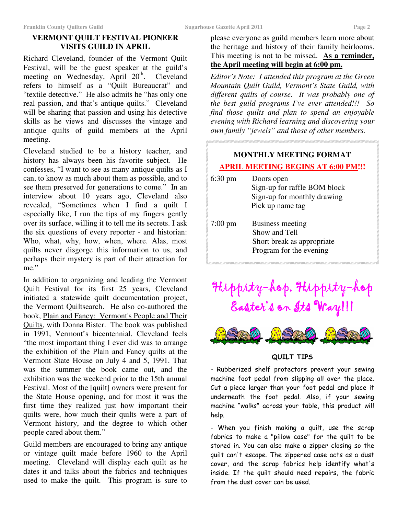# **VERMONT QUILT FESTIVAL PIONEER VISITS GUILD IN APRIL**

Richard Cleveland, founder of the Vermont Quilt Festival, will be the guest speaker at the guild's meeting on Wednesday, April 20<sup>th</sup>. Cleveland refers to himself as a "Quilt Bureaucrat" and "textile detective." He also admits he "has only one real passion, and that's antique quilts." Cleveland will be sharing that passion and using his detective skills as he views and discusses the vintage and antique quilts of guild members at the April meeting.

Cleveland studied to be a history teacher, and history has always been his favorite subject. He confesses, "I want to see as many antique quilts as I can, to know as much about them as possible, and to see them preserved for generations to come." In an interview about 10 years ago, Cleveland also revealed, "Sometimes when I find a quilt I especially like, I run the tips of my fingers gently over its surface, willing it to tell me its secrets. I ask the six questions of every reporter - and historian: Who, what, why, how, when, where. Alas, most quilts never disgorge this information to us, and perhaps their mystery is part of their attraction for me."

In addition to organizing and leading the Vermont Quilt Festival for its first 25 years, Cleveland initiated a statewide quilt documentation project, the Vermont Quiltsearch. He also co-authored the book, Plain and Fancy: Vermont's People and Their Quilts, with Donna Bister. The book was published in 1991, Vermont's bicentennial. Cleveland feels "the most important thing I ever did was to arrange the exhibition of the Plain and Fancy quilts at the Vermont State House on July 4 and 5, 1991. That was the summer the book came out, and the exhibition was the weekend prior to the 15th annual Festival. Most of the [quilt] owners were present for the State House opening, and for most it was the first time they realized just how important their quilts were, how much their quilts were a part of Vermont history, and the degree to which other people cared about them."

Guild members are encouraged to bring any antique or vintage quilt made before 1960 to the April meeting. Cleveland will display each quilt as he dates it and talks about the fabrics and techniques used to make the quilt. This program is sure to

please everyone as guild members learn more about the heritage and history of their family heirlooms. This meeting is not to be missed. **As a reminder, the April meeting will begin at 6:00 pm.**

*Editor's Note: I attended this program at the Green Mountain Quilt Guild, Vermont's State Guild, with different quilts of course. It was probably one of the best guild programs I've ever attended!!! So find those quilts and plan to spend an enjoyable evening with Richard learning and discovering your own family "jewels" and those of other members.*

# **MONTHLY MEETING FORMAT APRIL MEETING BEGINS AT 6:00 PM!!!** 6:30 pm Doors open Sign-up for raffle BOM block Sign-up for monthly drawing Pick up name tag 7:00 pm Business meeting Show and Tell Short break as appropriate Program for the evening

# Hippity-hop, Hippity-hop Easter's on Its Way!!!



#### QUILT TIPS

- Rubberized shelf protectors prevent your sewing machine foot pedal from slipping all over the place. Cut a piece larger than your foot pedal and place it underneath the foot pedal. Also, if your sewing machine "walks" across your table, this product will help.

- When you finish making a quilt, use the scrap fabrics to make a "pillow case" for the quilt to be stored in. You can also make a zipper closing so the quilt can't escape. The zippered case acts as a dust cover, and the scrap fabrics help identify what's inside. If the quilt should need repairs, the fabric from the dust cover can be used.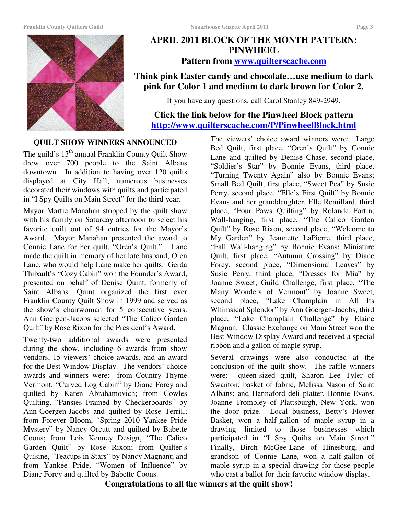#### **Franklin County Quilters Guild Sugarhouse Gazette April 2011 Page 3**



# **APRIL 2011 BLOCK OF THE MONTH PATTERN: PINWHEEL Pattern from www.quilterscache.com**

# **Think pink Easter candy and chocolate…use medium to dark pink for Color 1 and medium to dark brown for Color 2.**

If you have any questions, call Carol Stanley 849-2949.

# **Click the link below for the Pinwheel Block pattern http://www.quilterscache.com/P/PinwheelBlock.html**

#### **QUILT SHOW WINNERS ANNOUNCED**

The guild's 13<sup>th</sup> annual Franklin County Quilt Show drew over 700 people to the Saint Albans downtown. In addition to having over 120 quilts displayed at City Hall, numerous businesses decorated their windows with quilts and participated in "I Spy Quilts on Main Street" for the third year.

Mayor Martie Manahan stopped by the quilt show with his family on Saturday afternoon to select his favorite quilt out of 94 entries for the Mayor's Award. Mayor Manahan presented the award to Connie Lane for her quilt, "Oren's Quilt." Lane made the quilt in memory of her late husband, Oren Lane, who would help Lane make her quilts. Gerda Thibault's "Cozy Cabin" won the Founder's Award, presented on behalf of Denise Quint, formerly of Saint Albans. Quint organized the first ever Franklin County Quilt Show in 1999 and served as the show's chairwoman for 5 consecutive years. Ann Goergen-Jacobs selected "The Calico Garden Quilt" by Rose Rixon for the President's Award.

Twenty-two additional awards were presented during the show, including 6 awards from show vendors, 15 viewers' choice awards, and an award for the Best Window Display. The vendors' choice awards and winners were: from Country Thyme Vermont, "Curved Log Cabin" by Diane Forey and quilted by Karen Abrahamovich; from Cowles Quilting, "Pansies Framed by Checkerboards" by Ann-Goergen-Jacobs and quilted by Rose Terrill; from Forever Bloom, "Spring 2010 Yankee Pride Mystery" by Nancy Orcutt and quilted by Babette Coons; from Lois Kenney Design, "The Calico Garden Quilt" by Rose Rixon; from Quilter's Quisine, "Teacups in Stars" by Nancy Magnant; and from Yankee Pride, "Women of Influence" by Diane Forey and quilted by Babette Coons.

The viewers' choice award winners were: Large Bed Quilt, first place, "Oren's Quilt" by Connie Lane and quilted by Denise Chase, second place, "Soldier's Star" by Bonnie Evans, third place, "Turning Twenty Again" also by Bonnie Evans; Small Bed Quilt, first place, "Sweet Pea" by Susie Perry, second place, "Elle's First Quilt" by Bonnie Evans and her granddaughter, Elle Remillard, third place, "Four Paws Quilting" by Rolande Fortin; Wall-hanging, first place, "The Calico Garden Quilt" by Rose Rixon, second place, "Welcome to My Garden" by Jeannette LaPierre, third place, "Fall Wall-hanging" by Bonnie Evans; Miniature Quilt, first place, "Autumn Crossing" by Diane Forey, second place, "Dimensional Leaves" by Susie Perry, third place, "Dresses for Mia" by Joanne Sweet; Guild Challenge, first place, "The Many Wonders of Vermont" by Joanne Sweet, second place, "Lake Champlain in All Its Whimsical Splendor" by Ann Goergen-Jacobs, third place, "Lake Champlain Challenge" by Elaine Magnan. Classie Exchange on Main Street won the Best Window Display Award and received a special ribbon and a gallon of maple syrup.

Several drawings were also conducted at the conclusion of the quilt show. The raffle winners were: queen-sized quilt, Sharon Lee Tyler of Swanton; basket of fabric, Melissa Nason of Saint Albans; and Hannaford deli platter, Bonnie Evans. Joanne Trombley of Plattsburgh, New York, won the door prize. Local business, Betty's Flower Basket, won a half-gallon of maple syrup in a drawing limited to those businesses which participated in "I Spy Quilts on Main Street." Finally, Birch McGee-Lane of Hinesburg, and grandson of Connie Lane, won a half-gallon of maple syrup in a special drawing for those people who cast a ballot for their favorite window display.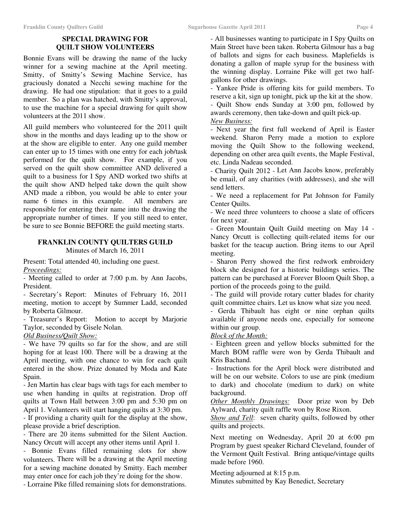## **SPECIAL DRAWING FOR QUILT SHOW VOLUNTEERS**

Bonnie Evans will be drawing the name of the lucky winner for a sewing machine at the April meeting. Smitty, of Smitty's Sewing Machine Service, has graciously donated a Necchi sewing machine for the drawing. He had one stipulation: that it goes to a guild member. So a plan was hatched, with Smitty's approval, to use the machine for a special drawing for quilt show volunteers at the 2011 show.

All guild members who volunteered for the 2011 quilt show in the months and days leading up to the show or at the show are eligible to enter. Any one guild member can enter up to 15 times with one entry for each job/task performed for the quilt show. For example, if you served on the quilt show committee AND delivered a quilt to a business for I Spy AND worked two shifts at the quilt show AND helped take down the quilt show AND made a ribbon, you would be able to enter your name 6 times in this example. All members are responsible for entering their name into the drawing the appropriate number of times. If you still need to enter, be sure to see Bonnie BEFORE the guild meeting starts.

#### **FRANKLIN COUNTY QUILTERS GUILD** Minutes of March 16, 2011

Present: Total attended 40, including one guest. *Proceedings:*

- Meeting called to order at 7:00 p.m. by Ann Jacobs, President.

- Secretary's Report: Minutes of February 16, 2011 meeting, motion to accept by Summer Ladd, seconded by Roberta Gilmour.

- Treasurer's Report: Motion to accept by Marjorie Taylor, seconded by Gisele Nolan.

#### *Old Business/Quilt Show:*

- We have 79 quilts so far for the show, and are still hoping for at least 100. There will be a drawing at the April meeting, with one chance to win for each quilt entered in the show. Prize donated by Moda and Kate Spain.

- Jen Martin has clear bags with tags for each member to use when handing in quilts at registration. Drop off quilts at Town Hall between 3:00 pm and 5:30 pm on April 1. Volunteers will start hanging quilts at 3:30 pm.

- If providing a charity quilt for the display at the show, please provide a brief description.

- There are 20 items submitted for the Silent Auction. Nancy Orcutt will accept any other items until April 1.

- Bonnie Evans filled remaining slots for show volunteers. There will be a drawing at the April meeting for a sewing machine donated by Smitty. Each member may enter once for each job they're doing for the show.

- Lorraine Pike filled remaining slots for demonstrations.

- All businesses wanting to participate in I Spy Quilts on Main Street have been taken. Roberta Gilmour has a bag of ballots and signs for each business. Maplefields is donating a gallon of maple syrup for the business with the winning display. Lorraine Pike will get two halfgallons for other drawings.

- Yankee Pride is offering kits for guild members. To reserve a kit, sign up tonight, pick up the kit at the show.

- Quilt Show ends Sunday at 3:00 pm, followed by awards ceremony, then take-down and quilt pick-up.

*New Business:*

- Next year the first full weekend of April is Easter weekend. Sharon Perry made a motion to explore moving the Quilt Show to the following weekend, depending on other area quilt events, the Maple Festival, etc. Linda Nadeau seconded.

- Charity Quilt 2012 - Let Ann Jacobs know, preferably be email, of any charities (with addresses), and she will send letters.

- We need a replacement for Pat Johnson for Family Center Quilts.

- We need three volunteers to choose a slate of officers for next year.

- Green Mountain Quilt Guild meeting on May 14 - Nancy Orcutt is collecting quilt-related items for our basket for the teacup auction. Bring items to our April meeting.

- Sharon Perry showed the first redwork embroidery block she designed for a historic buildings series. The pattern can be purchased at Forever Bloom Quilt Shop, a portion of the proceeds going to the guild.

- The guild will provide rotary cutter blades for charity quilt committee chairs. Let us know what size you need.

- Gerda Thibault has eight or nine orphan quilts available if anyone needs one, especially for someone within our group.

*Block of the Month:*

- Eighteen green and yellow blocks submitted for the March BOM raffle were won by Gerda Thibault and Kris Bachand.

- Instructions for the April block were distributed and will be on our website. Colors to use are pink (medium to dark) and chocolate (medium to dark) on white background.

*Other Monthly Drawings:* Door prize won by Deb Aylward, charity quilt raffle won by Rose Rixon.

*Show and Tell*: seven charity quilts, followed by other quilts and projects.

Next meeting on Wednesday, April 20 at 6:00 pm Program by guest speaker Richard Cleveland, founder of the Vermont Quilt Festival. Bring antique/vintage quilts made before 1960.

Meeting adjourned at 8:15 p.m. Minutes submitted by Kay Benedict, Secretary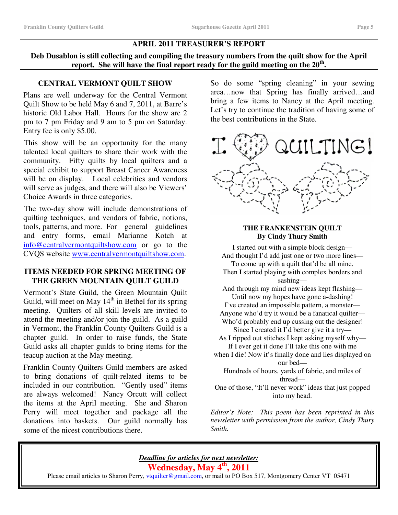## **APRIL 2011 TREASURER'S REPORT**

**Deb Dusablon is still collecting and compiling the treasury numbers from the quilt show for the April report. She will have the final report ready for the guild meeting on the 20 th .**

# **CENTRAL VERMONT QUILT SHOW**

Plans are well underway for the Central Vermont Quilt Show to be held May 6 and 7, 2011, at Barre's historic Old Labor Hall. Hours for the show are 2 pm to 7 pm Friday and 9 am to 5 pm on Saturday. Entry fee is only \$5.00.

This show will be an opportunity for the many talented local quilters to share their work with the community. Fifty quilts by local quilters and a special exhibit to support Breast Cancer Awareness will be on display. Local celebrities and vendors will serve as judges, and there will also be Viewers' Choice Awards in three categories.

The two-day show will include demonstrations of quilting techniques, and vendors of fabric, notions, tools, patterns, and more. For general guidelines and entry forms, email Marianne Kotch at info@centralvermontquiltshow.com or go to the CVQS website www.centralvermontquiltshow.com.

# **ITEMS NEEDED FOR SPRING MEETING OF THE GREEN MOUNTAIN QUILT GUILD**

Vermont's State Guild, the Green Mountain Quilt Guild, will meet on May 14<sup>th</sup> in Bethel for its spring meeting. Quilters of all skill levels are invited to attend the meeting and/or join the guild. As a guild in Vermont, the Franklin County Quilters Guild is a chapter guild. In order to raise funds, the State Guild asks all chapter guilds to bring items for the teacup auction at the May meeting.

Franklin County Quilters Guild members are asked to bring donations of quilt-related items to be included in our contribution. "Gently used" items are always welcomed! Nancy Orcutt will collect the items at the April meeting. She and Sharon Perry will meet together and package all the donations into baskets. Our guild normally has some of the nicest contributions there.

So do some "spring cleaning" in your sewing area…now that Spring has finally arrived…and bring a few items to Nancy at the April meeting. Let's try to continue the tradition of having some of the best contributions in the State.



## **THE FRANKENSTEIN QUILT By Cindy Thury Smith**

I started out with a simple block design— And thought I'd add just one or two more lines— To come up with a quilt that'd be all mine.

Then I started playing with complex borders and sashing—

And through my mind new ideas kept flashing— Until now my hopes have gone a-dashing!

I've created an impossible pattern, a monster— Anyone who'd try it would be a fanatical quilter— Who'd probably end up cussing out the designer!

Since I created it I'd better give it a try—

As I ripped out stitches I kept asking myself why— If I ever get it done I'll take this one with me

when I die! Now it's finally done and lies displayed on our bed—

Hundreds of hours, yards of fabric, and miles of thread—

One of those, "It'll never work" ideas that just popped into my head.

*Editor's Note: This poem has been reprinted in this newsletter with permission from the author, Cindy Thury Smith.*

*Deadline for articles for next newsletter:*

**Wednesday, May 4 th , 2011**

Please email articles to Sharon Perry, *vtquilter@gmail.com*, or mail to PO Box 517, Montgomery Center VT 05471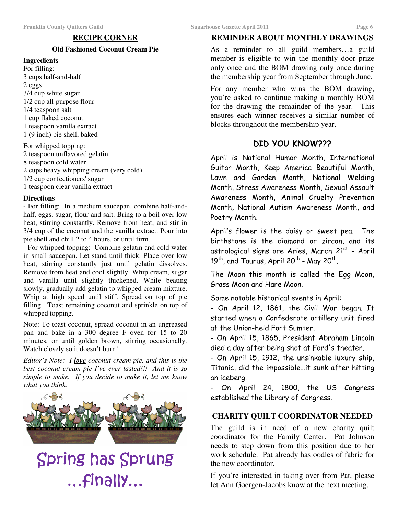## **RECIPE CORNER**

## **Old Fashioned Coconut Cream Pie**

#### **Ingredients**

For filling: 3 cups half-and-half 2 eggs 3/4 cup white sugar 1/2 cup all-purpose flour 1/4 teaspoon salt 1 cup flaked coconut 1 teaspoon vanilla extract 1 (9 inch) pie shell, baked

For whipped topping: teaspoon unflavored gelatin teaspoon cold water cups heavy whipping cream (very cold) 1/2 cup confectioners' sugar teaspoon clear vanilla extract

#### **Directions**

- For filling: In a medium saucepan, combine half-andhalf, eggs, sugar, flour and salt. Bring to a boil over low heat, stirring constantly. Remove from heat, and stir in 3/4 cup of the coconut and the vanilla extract. Pour into pie shell and chill 2 to 4 hours, or until firm.

- For whipped topping: Combine gelatin and cold water in small saucepan. Let stand until thick. Place over low heat, stirring constantly just until gelatin dissolves. Remove from heat and cool slightly. Whip cream, sugar and vanilla until slightly thickened. While beating slowly, gradually add gelatin to whipped cream mixture. Whip at high speed until stiff. Spread on top of pie filling. Toast remaining coconut and sprinkle on top of whipped topping.

Note: To toast coconut, spread coconut in an ungreased pan and bake in a 300 degree F oven for 15 to 20 minutes, or until golden brown, stirring occasionally. Watch closely so it doesn't burn!

*Editor's Note: I love coconut cream pie, and this is the best coconut cream pie I've ever tasted!!! And it is so simple to make. If you decide to make it, let me know what you think.*



# Spring has Sprung ...Finally...

## **REMINDER ABOUT MONTHLY DRAWINGS**

As a reminder to all guild members…a guild member is eligible to win the monthly door prize only once and the BOM drawing only once during the membership year from September through June.

For any member who wins the BOM drawing, you're asked to continue making a monthly BOM for the drawing the remainder of the year. This ensures each winner receives a similar number of blocks throughout the membership year.

# DID YOU KNOW???

April is National Humor Month, International Guitar Month, Keep America Beautiful Month, Lawn and Garden Month, National Welding Month, Stress Awareness Month, Sexual Assault Awareness Month, Animal Cruelty Prevention Month, National Autism Awareness Month, and Poetry Month.

April's flower is the daisy or sweet pea. The birthstone is the diamond or zircon, and its astrological signs are Aries, March 21st - April  $19^{\text{th}}$ , and Taurus, April 20<sup>th</sup> - May 20<sup>th</sup>.

The Moon this month is called the Egg Moon, Grass Moon and Hare Moon.

Some notable historical events in April:

- On April 12, 1861, the Civil War began. It started when a Confederate artillery unit fired at the Union-held Fort Sumter.

- On April 15, 1865, President Abraham Lincoln died a day after being shot at Ford's theater.

- On April 15, 1912, the unsinkable luxury ship, Titanic, did the impossible…it sunk after hitting an iceberg.

- On April 24, 1800, the US Congress established the Library of Congress.

## **CHARITY QUILT COORDINATOR NEEDED**

The guild is in need of a new charity quilt coordinator for the Family Center. Pat Johnson needs to step down from this position due to her work schedule. Pat already has oodles of fabric for the new coordinator.

If you're interested in taking over from Pat, please let Ann Goergen-Jacobs know at the next meeting.